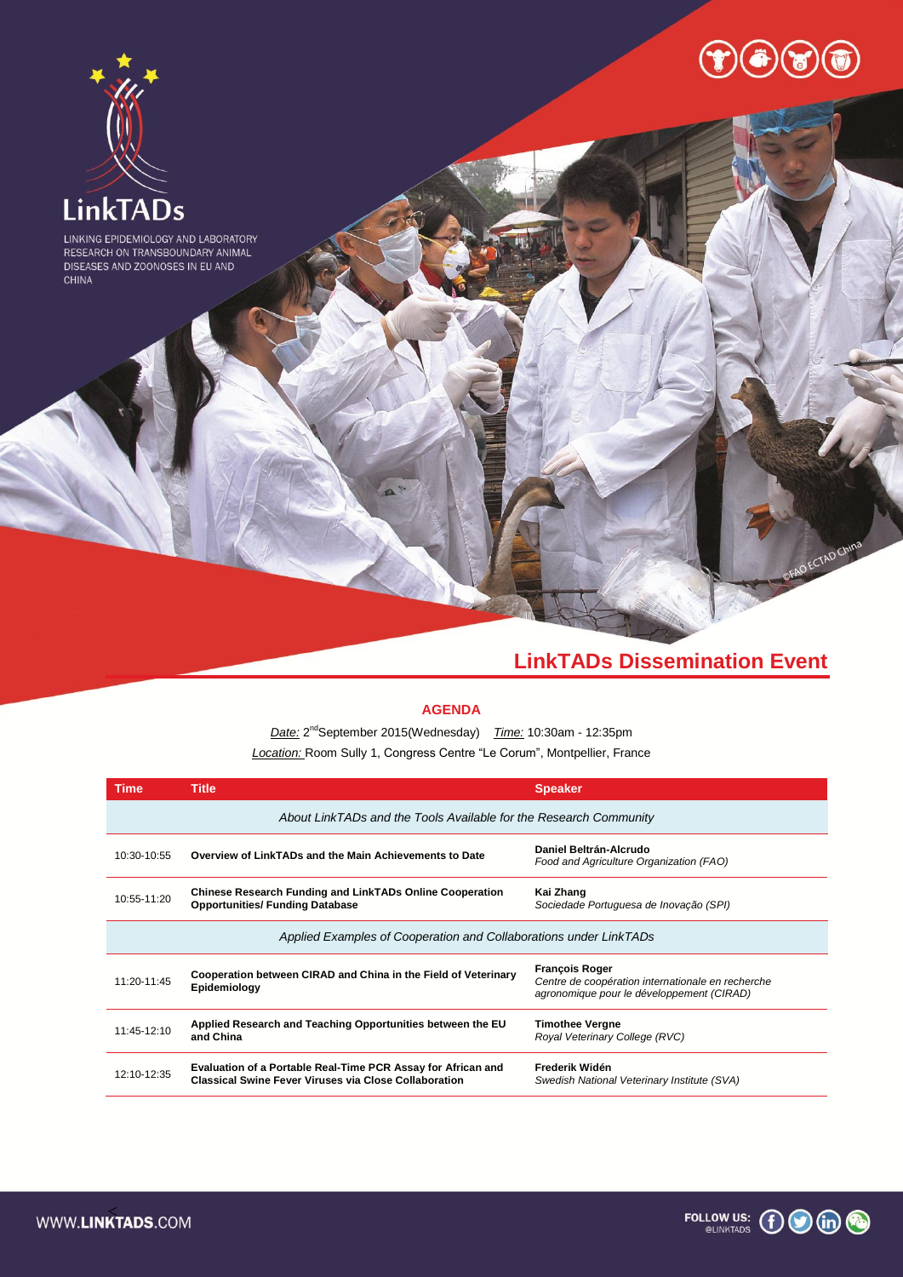

# **LinkTADs Dissemination Event**

# **AGENDA**

*Date:* 2 ndSeptember 2015(Wednesday) *Time:* 10:30am - 12:35pm *Location:* Room Sully 1, Congress Centre "Le Corum", Montpellier, France

| <b>Time</b>                                                       | <b>Title</b>                                                                                                                 | <b>Speaker</b>                                                                                                          |
|-------------------------------------------------------------------|------------------------------------------------------------------------------------------------------------------------------|-------------------------------------------------------------------------------------------------------------------------|
| About LinkTADs and the Tools Available for the Research Community |                                                                                                                              |                                                                                                                         |
| 10:30-10:55                                                       | Overview of LinkTADs and the Main Achievements to Date                                                                       | Daniel Beltrán-Alcrudo<br>Food and Agriculture Organization (FAO)                                                       |
| 10:55-11:20                                                       | <b>Chinese Research Funding and LinkTADs Online Cooperation</b><br><b>Opportunities/ Funding Database</b>                    | Kai Zhang<br>Sociedade Portuguesa de Inovação (SPI)                                                                     |
| Applied Examples of Cooperation and Collaborations under LinkTADs |                                                                                                                              |                                                                                                                         |
| 11:20-11:45                                                       | Cooperation between CIRAD and China in the Field of Veterinary<br>Epidemiology                                               | <b>François Roger</b><br>Centre de coopération internationale en recherche<br>agronomique pour le développement (CIRAD) |
| 11:45-12:10                                                       | Applied Research and Teaching Opportunities between the EU<br>and China                                                      | <b>Timothee Vergne</b><br>Roval Veterinary College (RVC)                                                                |
| 12:10-12:35                                                       | Evaluation of a Portable Real-Time PCR Assay for African and<br><b>Classical Swine Fever Viruses via Close Collaboration</b> | Frederik Widén<br>Swedish National Veterinary Institute (SVA)                                                           |